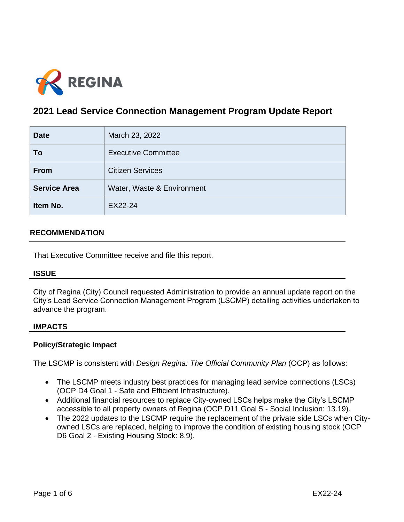

# **2021 Lead Service Connection Management Program Update Report**

| <b>Date</b>         | March 23, 2022             |
|---------------------|----------------------------|
| To                  | <b>Executive Committee</b> |
| <b>From</b>         | <b>Citizen Services</b>    |
| <b>Service Area</b> | Water, Waste & Environment |
| Item No.            | EX22-24                    |

# **RECOMMENDATION**

That Executive Committee receive and file this report.

# **ISSUE**

City of Regina (City) Council requested Administration to provide an annual update report on the City's Lead Service Connection Management Program (LSCMP) detailing activities undertaken to advance the program.

#### **IMPACTS**

# **Policy/Strategic Impact**

The LSCMP is consistent with *Design Regina: The Official Community Plan* (OCP) as follows:

- The LSCMP meets industry best practices for managing lead service connections (LSCs) (OCP D4 Goal 1 - Safe and Efficient Infrastructure).
- Additional financial resources to replace City-owned LSCs helps make the City's LSCMP accessible to all property owners of Regina (OCP D11 Goal 5 - Social Inclusion: 13.19).
- The 2022 updates to the LSCMP require the replacement of the private side LSCs when Cityowned LSCs are replaced, helping to improve the condition of existing housing stock (OCP D6 Goal 2 - Existing Housing Stock: 8.9).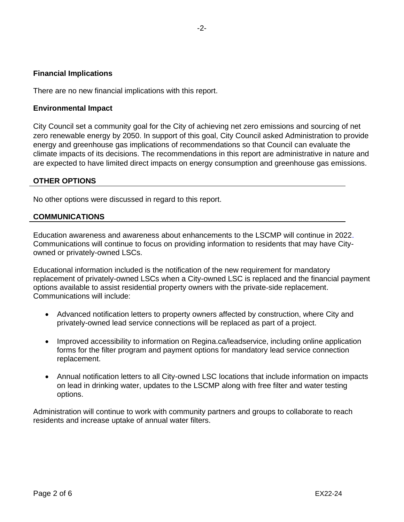## **Financial Implications**

There are no new financial implications with this report.

## **Environmental Impact**

City Council set a community goal for the City of achieving net zero emissions and sourcing of net zero renewable energy by 2050. In support of this goal, City Council asked Administration to provide energy and greenhouse gas implications of recommendations so that Council can evaluate the climate impacts of its decisions. The recommendations in this report are administrative in nature and are expected to have limited direct impacts on energy consumption and greenhouse gas emissions.

## **OTHER OPTIONS**

No other options were discussed in regard to this report.

#### **COMMUNICATIONS**

Education awareness and awareness about enhancements to the LSCMP will continue in 2022. Communications will continue to focus on providing information to residents that may have Cityowned or privately-owned LSCs.

Educational information included is the notification of the new requirement for mandatory replacement of privately-owned LSCs when a City-owned LSC is replaced and the financial payment options available to assist residential property owners with the private-side replacement. Communications will include:

- Advanced notification letters to property owners affected by construction, where City and privately-owned lead service connections will be replaced as part of a project.
- Improved accessibility to information on Regina.ca/leadservice, including online application forms for the filter program and payment options for mandatory lead service connection replacement.
- Annual notification letters to all City-owned LSC locations that include information on impacts on lead in drinking water, updates to the LSCMP along with free filter and water testing options.

Administration will continue to work with community partners and groups to collaborate to reach residents and increase uptake of annual water filters.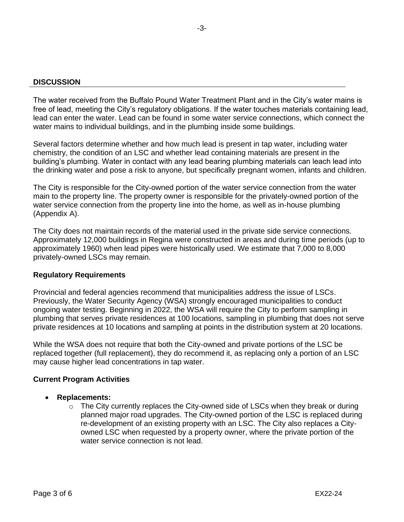#### **DISCUSSION**

The water received from the Buffalo Pound Water Treatment Plant and in the City's water mains is free of lead, meeting the City's regulatory obligations. If the water touches materials containing lead, lead can enter the water. Lead can be found in some water service connections, which connect the water mains to individual buildings, and in the plumbing inside some buildings.

Several factors determine whether and how much lead is present in tap water, including water chemistry, the condition of an LSC and whether lead containing materials are present in the building's plumbing. Water in contact with any lead bearing plumbing materials can leach lead into the drinking water and pose a risk to anyone, but specifically pregnant women, infants and children.

The City is responsible for the City-owned portion of the water service connection from the water main to the property line. The property owner is responsible for the privately-owned portion of the water service connection from the property line into the home, as well as in-house plumbing (Appendix A).

The City does not maintain records of the material used in the private side service connections. Approximately 12,000 buildings in Regina were constructed in areas and during time periods (up to approximately 1960) when lead pipes were historically used. We estimate that 7,000 to 8,000 privately-owned LSCs may remain.

#### **Regulatory Requirements**

Provincial and federal agencies recommend that municipalities address the issue of LSCs. Previously, the Water Security Agency (WSA) strongly encouraged municipalities to conduct ongoing water testing. Beginning in 2022, the WSA will require the City to perform sampling in plumbing that serves private residences at 100 locations, sampling in plumbing that does not serve private residences at 10 locations and sampling at points in the distribution system at 20 locations.

While the WSA does not require that both the City-owned and private portions of the LSC be replaced together (full replacement), they do recommend it, as replacing only a portion of an LSC may cause higher lead concentrations in tap water.

#### **Current Program Activities**

- **Replacements:**
	- $\circ$  The City currently replaces the City-owned side of LSCs when they break or during planned major road upgrades. The City-owned portion of the LSC is replaced during re-development of an existing property with an LSC. The City also replaces a Cityowned LSC when requested by a property owner, where the private portion of the water service connection is not lead.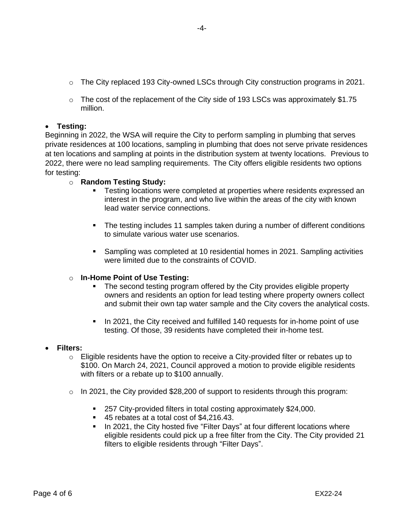- o The City replaced 193 City-owned LSCs through City construction programs in 2021.
- $\circ$  The cost of the replacement of the City side of 193 LSCs was approximately \$1.75 million.

# • **Testing:**

Beginning in 2022, the WSA will require the City to perform sampling in plumbing that serves private residences at 100 locations, sampling in plumbing that does not serve private residences at ten locations and sampling at points in the distribution system at twenty locations. Previous to 2022, there were no lead sampling requirements. The City offers eligible residents two options for testing:

# o **Random Testing Study:**

- **EXECT** Testing locations were completed at properties where residents expressed an interest in the program, and who live within the areas of the city with known lead water service connections.
- The testing includes 11 samples taken during a number of different conditions to simulate various water use scenarios.
- **E** Sampling was completed at 10 residential homes in 2021. Sampling activities were limited due to the constraints of COVID.

# o **In-Home Point of Use Testing:**

- The second testing program offered by the City provides eligible property owners and residents an option for lead testing where property owners collect and submit their own tap water sample and the City covers the analytical costs.
- In 2021, the City received and fulfilled 140 requests for in-home point of use testing. Of those, 39 residents have completed their in-home test.

# • **Filters:**

- $\circ$  Eligible residents have the option to receive a City-provided filter or rebates up to \$100. On March 24, 2021, Council approved a motion to provide eligible residents with filters or a rebate up to \$100 annually.
- $\circ$  In 2021, the City provided \$28,200 of support to residents through this program:
	- 257 City-provided filters in total costing approximately \$24,000.
	- 45 rebates at a total cost of \$4,216.43.
	- In 2021, the City hosted five "Filter Days" at four different locations where eligible residents could pick up a free filter from the City. The City provided 21 filters to eligible residents through "Filter Days".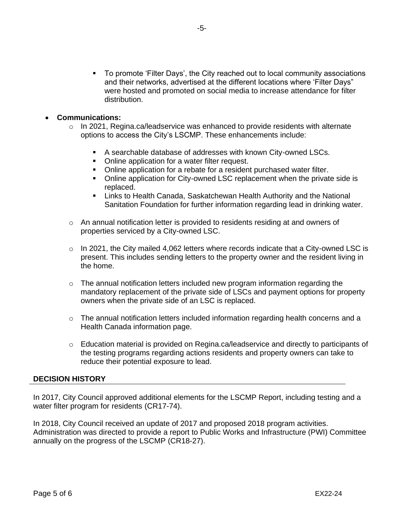▪ To promote 'Filter Days', the City reached out to local community associations and their networks, advertised at the different locations where 'Filter Days" were hosted and promoted on social media to increase attendance for filter distribution.

# • **Communications:**

- $\circ$  In 2021, Regina.ca/leadservice was enhanced to provide residents with alternate options to access the City's LSCMP. These enhancements include:
	- A searchable database of addresses with known City-owned LSCs.
	- Online application for a water filter request.
	- Online application for a rebate for a resident purchased water filter.
	- Online application for City-owned LSC replacement when the private side is replaced.
	- **E** Links to Health Canada, Saskatchewan Health Authority and the National Sanitation Foundation for further information regarding lead in drinking water.
- $\circ$  An annual notification letter is provided to residents residing at and owners of properties serviced by a City-owned LSC.
- $\circ$  In 2021, the City mailed 4,062 letters where records indicate that a City-owned LSC is present. This includes sending letters to the property owner and the resident living in the home.
- $\circ$  The annual notification letters included new program information regarding the mandatory replacement of the private side of LSCs and payment options for property owners when the private side of an LSC is replaced.
- o The annual notification letters included information regarding health concerns and a Health Canada information page.
- o Education material is provided on Regina.ca/leadservice and directly to participants of the testing programs regarding actions residents and property owners can take to reduce their potential exposure to lead.

# **DECISION HISTORY**

In 2017, City Council approved additional elements for the LSCMP Report, including testing and a water filter program for residents (CR17-74).

In 2018, City Council received an update of 2017 and proposed 2018 program activities. Administration was directed to provide a report to Public Works and Infrastructure (PWI) Committee annually on the progress of the LSCMP (CR18-27).